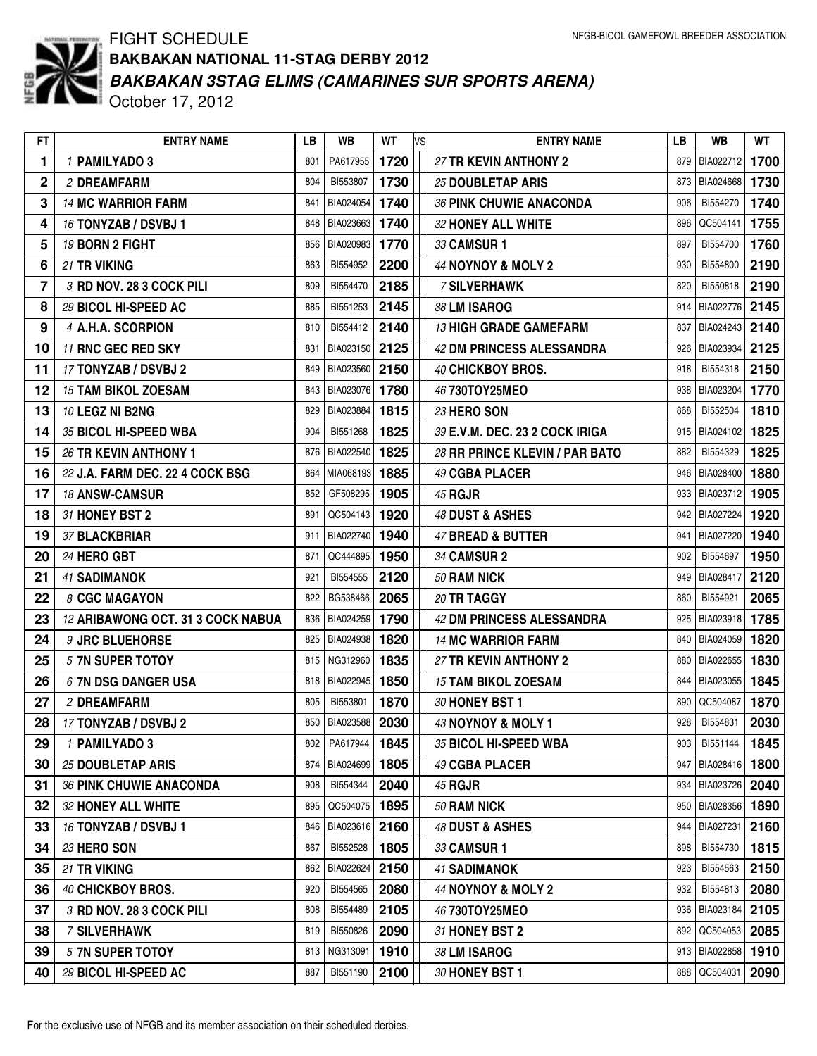

## FIGHT SCHEDULE *BAKBAKAN 3STAG ELIMS (CAMARINES SUR SPORTS ARENA)* October 17, 2012 **BAKBAKAN NATIONAL 11-STAG DERBY 2012**

| 1720<br>1<br>PA617955<br>27 TR KEVIN ANTHONY 2<br>BIA022712<br>1 PAMILYADO 3<br>801<br>879<br>$\mathbf 2$<br>BI553807<br>1730<br>BIA024668<br>804<br>25 DOUBLETAP ARIS<br>873<br>2 DREAMFARM<br>3<br><b>14 MC WARRIOR FARM</b><br>BIA024054<br>1740<br>36 PINK CHUWIE ANACONDA<br>BI554270<br>906<br>841<br>4<br>16 TONYZAB / DSVBJ 1<br>BIA023663<br>1740<br>32 HONEY ALL WHITE<br>QC504141<br>848<br>896<br>5<br>BIA020983<br>1770<br>BI554700<br>19 BORN 2 FIGHT<br>856<br>33 CAMSUR 1<br>897<br>6<br>2200<br>21 TR VIKING<br>BI554952<br>44 NOYNOY & MOLY 2<br>BI554800<br>863<br>930<br>$\overline{7}$<br>BI554470<br>2185<br>BI550818<br>3 RD NOV. 28 3 COCK PILI<br>809<br><b>7 SILVERHAWK</b><br>820<br>8<br>29 BICOL HI-SPEED AC<br>2145<br>38 LM ISAROG<br>BIA022776<br>885<br>BI551253<br>914<br>9<br>4 A.H.A. SCORPION<br>2140<br>810<br>BI554412<br><b>13 HIGH GRADE GAMEFARM</b><br>837<br>BIA024243<br>11 RNC GEC RED SKY<br>BIA023150<br>2125<br>42 DM PRINCESS ALESSANDRA<br>BIA023934<br>831<br>926<br>10<br>17 TONYZAB / DSVBJ 2<br>BIA023560<br>2150<br>40 CHICKBOY BROS.<br>BI554318<br>11<br>849<br>918<br>BIA023076<br>BIA023204<br>12<br><b>15 TAM BIKOL ZOESAM</b><br>843<br>1780<br>938<br>46 730TOY25MEO<br>13<br>10 LEGZ NI B2NG<br>1815<br>23 HERO SON<br>829<br>BIA023884<br>868<br>BI552504<br>35 BICOL HI-SPEED WBA<br>1825<br>39 E.V.M. DEC. 23 2 COCK IRIGA<br>14<br>904<br>BI551268<br>BIA024102<br>915<br>15<br>26 TR KEVIN ANTHONY 1<br>BIA022540<br>1825<br>28 RR PRINCE KLEVIN / PAR BATO<br>876<br>882<br>BI554329<br>1885<br>16<br>22 J.A. FARM DEC. 22 4 COCK BSG<br>49 CGBA PLACER<br>864<br>MIA068193<br>946<br>BIA028400<br>GF508295<br>1905<br>BIA023712<br>17<br>18 ANSW-CAMSUR<br>852<br>933<br><b>45 RGJR</b><br>31 HONEY BST 2<br>QC504143<br>48 DUST & ASHES<br>BIA027224<br>18<br>1920<br>942<br>891<br>19<br>37 BLACKBRIAR<br>BIA022740<br>1940<br>911<br>47 BREAD & BUTTER<br>BIA027220<br>941<br>QC444895<br>1950<br>BI554697<br>20<br><b>24 HERO GBT</b><br>871<br>34 CAMSUR 2<br>902<br>2120<br>21<br>BI554555<br>BIA028417<br><b>41 SADIMANOK</b><br>921<br>50 RAM NICK<br>949<br>BG538466<br>2065<br>BI554921<br>22<br>822<br>20 TR TAGGY<br>860<br>8 CGC MAGAYON<br>23<br>12 ARIBAWONG OCT. 31 3 COCK NABUA<br>BIA024259<br>1790<br>42 DM PRINCESS ALESSANDRA<br>BIA023918<br>836<br>925<br>24<br>BIA024938<br>1820<br>BIA024059<br>9 JRC BLUEHORSE<br>825<br><b>14 MC WARRIOR FARM</b><br>840<br>25<br>5 7N SUPER TOTOY<br>NG312960<br>1835<br>27 TR KEVIN ANTHONY 2<br>BIA022655<br>815<br>880<br>26<br>6 7N DSG DANGER USA<br>BIA022945<br>1850<br><b>15 TAM BIKOL ZOESAM</b><br>BIA023055<br>818<br>844<br>BI553801<br>1870<br>QC504087<br>27<br>2 DREAMFARM<br>805<br>30 HONEY BST 1<br>890<br>17 TONYZAB / DSVBJ 2<br>850   BIA023588  <br>2030<br>43 NOYNOY & MOLY 1<br>928<br>28<br>BI554831<br>1845<br>35 BICOL HI-SPEED WBA<br>29<br>1 PAMILYADO 3<br>802<br>PA617944<br>903<br>BI551144 | 1700<br>1730<br>1740<br>1755<br>1760<br>2190<br>2190<br>2145<br>2140<br>2125<br>2150<br>1770 |
|----------------------------------------------------------------------------------------------------------------------------------------------------------------------------------------------------------------------------------------------------------------------------------------------------------------------------------------------------------------------------------------------------------------------------------------------------------------------------------------------------------------------------------------------------------------------------------------------------------------------------------------------------------------------------------------------------------------------------------------------------------------------------------------------------------------------------------------------------------------------------------------------------------------------------------------------------------------------------------------------------------------------------------------------------------------------------------------------------------------------------------------------------------------------------------------------------------------------------------------------------------------------------------------------------------------------------------------------------------------------------------------------------------------------------------------------------------------------------------------------------------------------------------------------------------------------------------------------------------------------------------------------------------------------------------------------------------------------------------------------------------------------------------------------------------------------------------------------------------------------------------------------------------------------------------------------------------------------------------------------------------------------------------------------------------------------------------------------------------------------------------------------------------------------------------------------------------------------------------------------------------------------------------------------------------------------------------------------------------------------------------------------------------------------------------------------------------------------------------------------------------------------------------------------------------------------------------------------------------------------------------------------------------------------------------------------------------------------------------------------------------------------------------------------------------------------------------------------------------------------------------------------------------------------------------------------------------------|----------------------------------------------------------------------------------------------|
|                                                                                                                                                                                                                                                                                                                                                                                                                                                                                                                                                                                                                                                                                                                                                                                                                                                                                                                                                                                                                                                                                                                                                                                                                                                                                                                                                                                                                                                                                                                                                                                                                                                                                                                                                                                                                                                                                                                                                                                                                                                                                                                                                                                                                                                                                                                                                                                                                                                                                                                                                                                                                                                                                                                                                                                                                                                                                                                                                                |                                                                                              |
|                                                                                                                                                                                                                                                                                                                                                                                                                                                                                                                                                                                                                                                                                                                                                                                                                                                                                                                                                                                                                                                                                                                                                                                                                                                                                                                                                                                                                                                                                                                                                                                                                                                                                                                                                                                                                                                                                                                                                                                                                                                                                                                                                                                                                                                                                                                                                                                                                                                                                                                                                                                                                                                                                                                                                                                                                                                                                                                                                                |                                                                                              |
|                                                                                                                                                                                                                                                                                                                                                                                                                                                                                                                                                                                                                                                                                                                                                                                                                                                                                                                                                                                                                                                                                                                                                                                                                                                                                                                                                                                                                                                                                                                                                                                                                                                                                                                                                                                                                                                                                                                                                                                                                                                                                                                                                                                                                                                                                                                                                                                                                                                                                                                                                                                                                                                                                                                                                                                                                                                                                                                                                                |                                                                                              |
|                                                                                                                                                                                                                                                                                                                                                                                                                                                                                                                                                                                                                                                                                                                                                                                                                                                                                                                                                                                                                                                                                                                                                                                                                                                                                                                                                                                                                                                                                                                                                                                                                                                                                                                                                                                                                                                                                                                                                                                                                                                                                                                                                                                                                                                                                                                                                                                                                                                                                                                                                                                                                                                                                                                                                                                                                                                                                                                                                                |                                                                                              |
|                                                                                                                                                                                                                                                                                                                                                                                                                                                                                                                                                                                                                                                                                                                                                                                                                                                                                                                                                                                                                                                                                                                                                                                                                                                                                                                                                                                                                                                                                                                                                                                                                                                                                                                                                                                                                                                                                                                                                                                                                                                                                                                                                                                                                                                                                                                                                                                                                                                                                                                                                                                                                                                                                                                                                                                                                                                                                                                                                                |                                                                                              |
|                                                                                                                                                                                                                                                                                                                                                                                                                                                                                                                                                                                                                                                                                                                                                                                                                                                                                                                                                                                                                                                                                                                                                                                                                                                                                                                                                                                                                                                                                                                                                                                                                                                                                                                                                                                                                                                                                                                                                                                                                                                                                                                                                                                                                                                                                                                                                                                                                                                                                                                                                                                                                                                                                                                                                                                                                                                                                                                                                                |                                                                                              |
|                                                                                                                                                                                                                                                                                                                                                                                                                                                                                                                                                                                                                                                                                                                                                                                                                                                                                                                                                                                                                                                                                                                                                                                                                                                                                                                                                                                                                                                                                                                                                                                                                                                                                                                                                                                                                                                                                                                                                                                                                                                                                                                                                                                                                                                                                                                                                                                                                                                                                                                                                                                                                                                                                                                                                                                                                                                                                                                                                                |                                                                                              |
|                                                                                                                                                                                                                                                                                                                                                                                                                                                                                                                                                                                                                                                                                                                                                                                                                                                                                                                                                                                                                                                                                                                                                                                                                                                                                                                                                                                                                                                                                                                                                                                                                                                                                                                                                                                                                                                                                                                                                                                                                                                                                                                                                                                                                                                                                                                                                                                                                                                                                                                                                                                                                                                                                                                                                                                                                                                                                                                                                                |                                                                                              |
|                                                                                                                                                                                                                                                                                                                                                                                                                                                                                                                                                                                                                                                                                                                                                                                                                                                                                                                                                                                                                                                                                                                                                                                                                                                                                                                                                                                                                                                                                                                                                                                                                                                                                                                                                                                                                                                                                                                                                                                                                                                                                                                                                                                                                                                                                                                                                                                                                                                                                                                                                                                                                                                                                                                                                                                                                                                                                                                                                                |                                                                                              |
|                                                                                                                                                                                                                                                                                                                                                                                                                                                                                                                                                                                                                                                                                                                                                                                                                                                                                                                                                                                                                                                                                                                                                                                                                                                                                                                                                                                                                                                                                                                                                                                                                                                                                                                                                                                                                                                                                                                                                                                                                                                                                                                                                                                                                                                                                                                                                                                                                                                                                                                                                                                                                                                                                                                                                                                                                                                                                                                                                                |                                                                                              |
|                                                                                                                                                                                                                                                                                                                                                                                                                                                                                                                                                                                                                                                                                                                                                                                                                                                                                                                                                                                                                                                                                                                                                                                                                                                                                                                                                                                                                                                                                                                                                                                                                                                                                                                                                                                                                                                                                                                                                                                                                                                                                                                                                                                                                                                                                                                                                                                                                                                                                                                                                                                                                                                                                                                                                                                                                                                                                                                                                                |                                                                                              |
|                                                                                                                                                                                                                                                                                                                                                                                                                                                                                                                                                                                                                                                                                                                                                                                                                                                                                                                                                                                                                                                                                                                                                                                                                                                                                                                                                                                                                                                                                                                                                                                                                                                                                                                                                                                                                                                                                                                                                                                                                                                                                                                                                                                                                                                                                                                                                                                                                                                                                                                                                                                                                                                                                                                                                                                                                                                                                                                                                                |                                                                                              |
|                                                                                                                                                                                                                                                                                                                                                                                                                                                                                                                                                                                                                                                                                                                                                                                                                                                                                                                                                                                                                                                                                                                                                                                                                                                                                                                                                                                                                                                                                                                                                                                                                                                                                                                                                                                                                                                                                                                                                                                                                                                                                                                                                                                                                                                                                                                                                                                                                                                                                                                                                                                                                                                                                                                                                                                                                                                                                                                                                                | 1810                                                                                         |
|                                                                                                                                                                                                                                                                                                                                                                                                                                                                                                                                                                                                                                                                                                                                                                                                                                                                                                                                                                                                                                                                                                                                                                                                                                                                                                                                                                                                                                                                                                                                                                                                                                                                                                                                                                                                                                                                                                                                                                                                                                                                                                                                                                                                                                                                                                                                                                                                                                                                                                                                                                                                                                                                                                                                                                                                                                                                                                                                                                | 1825                                                                                         |
|                                                                                                                                                                                                                                                                                                                                                                                                                                                                                                                                                                                                                                                                                                                                                                                                                                                                                                                                                                                                                                                                                                                                                                                                                                                                                                                                                                                                                                                                                                                                                                                                                                                                                                                                                                                                                                                                                                                                                                                                                                                                                                                                                                                                                                                                                                                                                                                                                                                                                                                                                                                                                                                                                                                                                                                                                                                                                                                                                                | 1825                                                                                         |
|                                                                                                                                                                                                                                                                                                                                                                                                                                                                                                                                                                                                                                                                                                                                                                                                                                                                                                                                                                                                                                                                                                                                                                                                                                                                                                                                                                                                                                                                                                                                                                                                                                                                                                                                                                                                                                                                                                                                                                                                                                                                                                                                                                                                                                                                                                                                                                                                                                                                                                                                                                                                                                                                                                                                                                                                                                                                                                                                                                | 1880                                                                                         |
|                                                                                                                                                                                                                                                                                                                                                                                                                                                                                                                                                                                                                                                                                                                                                                                                                                                                                                                                                                                                                                                                                                                                                                                                                                                                                                                                                                                                                                                                                                                                                                                                                                                                                                                                                                                                                                                                                                                                                                                                                                                                                                                                                                                                                                                                                                                                                                                                                                                                                                                                                                                                                                                                                                                                                                                                                                                                                                                                                                | 1905                                                                                         |
|                                                                                                                                                                                                                                                                                                                                                                                                                                                                                                                                                                                                                                                                                                                                                                                                                                                                                                                                                                                                                                                                                                                                                                                                                                                                                                                                                                                                                                                                                                                                                                                                                                                                                                                                                                                                                                                                                                                                                                                                                                                                                                                                                                                                                                                                                                                                                                                                                                                                                                                                                                                                                                                                                                                                                                                                                                                                                                                                                                | 1920                                                                                         |
|                                                                                                                                                                                                                                                                                                                                                                                                                                                                                                                                                                                                                                                                                                                                                                                                                                                                                                                                                                                                                                                                                                                                                                                                                                                                                                                                                                                                                                                                                                                                                                                                                                                                                                                                                                                                                                                                                                                                                                                                                                                                                                                                                                                                                                                                                                                                                                                                                                                                                                                                                                                                                                                                                                                                                                                                                                                                                                                                                                | 1940                                                                                         |
|                                                                                                                                                                                                                                                                                                                                                                                                                                                                                                                                                                                                                                                                                                                                                                                                                                                                                                                                                                                                                                                                                                                                                                                                                                                                                                                                                                                                                                                                                                                                                                                                                                                                                                                                                                                                                                                                                                                                                                                                                                                                                                                                                                                                                                                                                                                                                                                                                                                                                                                                                                                                                                                                                                                                                                                                                                                                                                                                                                | 1950                                                                                         |
|                                                                                                                                                                                                                                                                                                                                                                                                                                                                                                                                                                                                                                                                                                                                                                                                                                                                                                                                                                                                                                                                                                                                                                                                                                                                                                                                                                                                                                                                                                                                                                                                                                                                                                                                                                                                                                                                                                                                                                                                                                                                                                                                                                                                                                                                                                                                                                                                                                                                                                                                                                                                                                                                                                                                                                                                                                                                                                                                                                | 2120                                                                                         |
|                                                                                                                                                                                                                                                                                                                                                                                                                                                                                                                                                                                                                                                                                                                                                                                                                                                                                                                                                                                                                                                                                                                                                                                                                                                                                                                                                                                                                                                                                                                                                                                                                                                                                                                                                                                                                                                                                                                                                                                                                                                                                                                                                                                                                                                                                                                                                                                                                                                                                                                                                                                                                                                                                                                                                                                                                                                                                                                                                                | 2065                                                                                         |
|                                                                                                                                                                                                                                                                                                                                                                                                                                                                                                                                                                                                                                                                                                                                                                                                                                                                                                                                                                                                                                                                                                                                                                                                                                                                                                                                                                                                                                                                                                                                                                                                                                                                                                                                                                                                                                                                                                                                                                                                                                                                                                                                                                                                                                                                                                                                                                                                                                                                                                                                                                                                                                                                                                                                                                                                                                                                                                                                                                | 1785                                                                                         |
|                                                                                                                                                                                                                                                                                                                                                                                                                                                                                                                                                                                                                                                                                                                                                                                                                                                                                                                                                                                                                                                                                                                                                                                                                                                                                                                                                                                                                                                                                                                                                                                                                                                                                                                                                                                                                                                                                                                                                                                                                                                                                                                                                                                                                                                                                                                                                                                                                                                                                                                                                                                                                                                                                                                                                                                                                                                                                                                                                                | 1820                                                                                         |
|                                                                                                                                                                                                                                                                                                                                                                                                                                                                                                                                                                                                                                                                                                                                                                                                                                                                                                                                                                                                                                                                                                                                                                                                                                                                                                                                                                                                                                                                                                                                                                                                                                                                                                                                                                                                                                                                                                                                                                                                                                                                                                                                                                                                                                                                                                                                                                                                                                                                                                                                                                                                                                                                                                                                                                                                                                                                                                                                                                | 1830                                                                                         |
|                                                                                                                                                                                                                                                                                                                                                                                                                                                                                                                                                                                                                                                                                                                                                                                                                                                                                                                                                                                                                                                                                                                                                                                                                                                                                                                                                                                                                                                                                                                                                                                                                                                                                                                                                                                                                                                                                                                                                                                                                                                                                                                                                                                                                                                                                                                                                                                                                                                                                                                                                                                                                                                                                                                                                                                                                                                                                                                                                                | 1845                                                                                         |
|                                                                                                                                                                                                                                                                                                                                                                                                                                                                                                                                                                                                                                                                                                                                                                                                                                                                                                                                                                                                                                                                                                                                                                                                                                                                                                                                                                                                                                                                                                                                                                                                                                                                                                                                                                                                                                                                                                                                                                                                                                                                                                                                                                                                                                                                                                                                                                                                                                                                                                                                                                                                                                                                                                                                                                                                                                                                                                                                                                | 1870                                                                                         |
|                                                                                                                                                                                                                                                                                                                                                                                                                                                                                                                                                                                                                                                                                                                                                                                                                                                                                                                                                                                                                                                                                                                                                                                                                                                                                                                                                                                                                                                                                                                                                                                                                                                                                                                                                                                                                                                                                                                                                                                                                                                                                                                                                                                                                                                                                                                                                                                                                                                                                                                                                                                                                                                                                                                                                                                                                                                                                                                                                                | 2030                                                                                         |
|                                                                                                                                                                                                                                                                                                                                                                                                                                                                                                                                                                                                                                                                                                                                                                                                                                                                                                                                                                                                                                                                                                                                                                                                                                                                                                                                                                                                                                                                                                                                                                                                                                                                                                                                                                                                                                                                                                                                                                                                                                                                                                                                                                                                                                                                                                                                                                                                                                                                                                                                                                                                                                                                                                                                                                                                                                                                                                                                                                | 1845                                                                                         |
| BIA024699<br>1805<br>947 BIA028416<br>30<br>25 DOUBLETAP ARIS<br>874<br>49 CGBA PLACER                                                                                                                                                                                                                                                                                                                                                                                                                                                                                                                                                                                                                                                                                                                                                                                                                                                                                                                                                                                                                                                                                                                                                                                                                                                                                                                                                                                                                                                                                                                                                                                                                                                                                                                                                                                                                                                                                                                                                                                                                                                                                                                                                                                                                                                                                                                                                                                                                                                                                                                                                                                                                                                                                                                                                                                                                                                                         | 1800                                                                                         |
| 2040<br><b>36 PINK CHUWIE ANACONDA</b><br>BI554344<br>934 BIA023726<br>31<br><b>45 RGJR</b><br>908                                                                                                                                                                                                                                                                                                                                                                                                                                                                                                                                                                                                                                                                                                                                                                                                                                                                                                                                                                                                                                                                                                                                                                                                                                                                                                                                                                                                                                                                                                                                                                                                                                                                                                                                                                                                                                                                                                                                                                                                                                                                                                                                                                                                                                                                                                                                                                                                                                                                                                                                                                                                                                                                                                                                                                                                                                                             | 2040                                                                                         |
| QC504075   1895<br>950 BIA028356 1890<br>32<br>32 HONEY ALL WHITE<br>895<br>50 RAM NICK                                                                                                                                                                                                                                                                                                                                                                                                                                                                                                                                                                                                                                                                                                                                                                                                                                                                                                                                                                                                                                                                                                                                                                                                                                                                                                                                                                                                                                                                                                                                                                                                                                                                                                                                                                                                                                                                                                                                                                                                                                                                                                                                                                                                                                                                                                                                                                                                                                                                                                                                                                                                                                                                                                                                                                                                                                                                        |                                                                                              |
| 33<br>16 TONYZAB / DSVBJ 1<br>BIA023616 2160<br>48 DUST & ASHES<br>944 BIA027231 2160<br>846                                                                                                                                                                                                                                                                                                                                                                                                                                                                                                                                                                                                                                                                                                                                                                                                                                                                                                                                                                                                                                                                                                                                                                                                                                                                                                                                                                                                                                                                                                                                                                                                                                                                                                                                                                                                                                                                                                                                                                                                                                                                                                                                                                                                                                                                                                                                                                                                                                                                                                                                                                                                                                                                                                                                                                                                                                                                   |                                                                                              |
| BI552528<br>1805<br>34<br>23 HERO SON<br>33 CAMSUR 1<br>BI554730<br>867<br>898                                                                                                                                                                                                                                                                                                                                                                                                                                                                                                                                                                                                                                                                                                                                                                                                                                                                                                                                                                                                                                                                                                                                                                                                                                                                                                                                                                                                                                                                                                                                                                                                                                                                                                                                                                                                                                                                                                                                                                                                                                                                                                                                                                                                                                                                                                                                                                                                                                                                                                                                                                                                                                                                                                                                                                                                                                                                                 | 1815                                                                                         |
| 2150<br>35<br>BIA022624<br>21 TR VIKING<br><b>41 SADIMANOK</b><br>923<br>BI554563<br>862                                                                                                                                                                                                                                                                                                                                                                                                                                                                                                                                                                                                                                                                                                                                                                                                                                                                                                                                                                                                                                                                                                                                                                                                                                                                                                                                                                                                                                                                                                                                                                                                                                                                                                                                                                                                                                                                                                                                                                                                                                                                                                                                                                                                                                                                                                                                                                                                                                                                                                                                                                                                                                                                                                                                                                                                                                                                       | 2150                                                                                         |
| 2080<br>40 CHICKBOY BROS.<br>BI554565<br>BI554813<br>36<br>920<br>44 NOYNOY & MOLY 2<br>932                                                                                                                                                                                                                                                                                                                                                                                                                                                                                                                                                                                                                                                                                                                                                                                                                                                                                                                                                                                                                                                                                                                                                                                                                                                                                                                                                                                                                                                                                                                                                                                                                                                                                                                                                                                                                                                                                                                                                                                                                                                                                                                                                                                                                                                                                                                                                                                                                                                                                                                                                                                                                                                                                                                                                                                                                                                                    | 2080                                                                                         |
| BI554489<br>2105<br>37<br>3 RD NOV. 28 3 COCK PILI<br>936   BIA023184<br>808<br>46 730TOY25MEO                                                                                                                                                                                                                                                                                                                                                                                                                                                                                                                                                                                                                                                                                                                                                                                                                                                                                                                                                                                                                                                                                                                                                                                                                                                                                                                                                                                                                                                                                                                                                                                                                                                                                                                                                                                                                                                                                                                                                                                                                                                                                                                                                                                                                                                                                                                                                                                                                                                                                                                                                                                                                                                                                                                                                                                                                                                                 | 2105                                                                                         |
| 38<br><b>7 SILVERHAWK</b><br>2090<br>31 HONEY BST 2<br>892 QC504053<br>BI550826<br>819                                                                                                                                                                                                                                                                                                                                                                                                                                                                                                                                                                                                                                                                                                                                                                                                                                                                                                                                                                                                                                                                                                                                                                                                                                                                                                                                                                                                                                                                                                                                                                                                                                                                                                                                                                                                                                                                                                                                                                                                                                                                                                                                                                                                                                                                                                                                                                                                                                                                                                                                                                                                                                                                                                                                                                                                                                                                         | 2085                                                                                         |
| 1910<br>913 BIA022858<br>39<br>5 7N SUPER TOTOY<br>NG313091<br>38 LM ISAROG<br>813                                                                                                                                                                                                                                                                                                                                                                                                                                                                                                                                                                                                                                                                                                                                                                                                                                                                                                                                                                                                                                                                                                                                                                                                                                                                                                                                                                                                                                                                                                                                                                                                                                                                                                                                                                                                                                                                                                                                                                                                                                                                                                                                                                                                                                                                                                                                                                                                                                                                                                                                                                                                                                                                                                                                                                                                                                                                             | 1910                                                                                         |
| 29 BICOL HI-SPEED AC<br>BI551190<br>2100<br>888 QC504031<br>40<br>30 HONEY BST 1<br>887                                                                                                                                                                                                                                                                                                                                                                                                                                                                                                                                                                                                                                                                                                                                                                                                                                                                                                                                                                                                                                                                                                                                                                                                                                                                                                                                                                                                                                                                                                                                                                                                                                                                                                                                                                                                                                                                                                                                                                                                                                                                                                                                                                                                                                                                                                                                                                                                                                                                                                                                                                                                                                                                                                                                                                                                                                                                        | 2090                                                                                         |